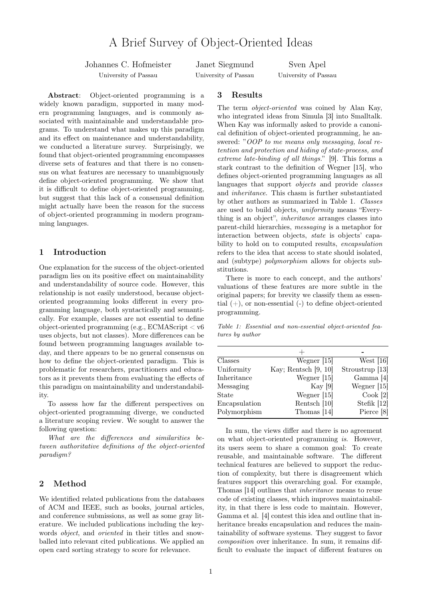# A Brief Survey of Object-Oriented Ideas

Johannes C. Hofmeister

University of Passau

Janet Siegmund University of Passau

Sven Apel University of Passau

Abstract: Object-oriented programming is a widely known paradigm, supported in many modern programming languages, and is commonly associated with maintainable and understandable programs. To understand what makes up this paradigm and its effect on maintenance and understandability, we conducted a literature survey. Surprisingly, we found that object-oriented programming encompasses diverse sets of features and that there is no consensus on what features are necessary to unambiguously define object-oriented programming. We show that it is difficult to define object-oriented programming, but suggest that this lack of a consensual definition might actually have been the reason for the success of object-oriented programming in modern programming languages.

### 1 Introduction

One explanation for the success of the object-oriented paradigm lies on its positive effect on maintainability and understandability of source code. However, this relationship is not easily understood, because objectoriented programming looks different in every programming language, both syntactically and semantically. For example, classes are not essential to define object-oriented programming (e.g., ECMAScript < v6 uses objects, but not classes). More differences can be found between programming languages available today, and there appears to be no general consensus on how to define the object-oriented paradigm. This is problematic for researchers, practitioners and educators as it prevents them from evaluating the effects of this paradigm on maintainability and understandability.

To assess how far the different perspectives on object-oriented programming diverge, we conducted a literature scoping review. We sought to answer the following question:

What are the differences and similarities between authoritative definitions of the object-oriented paradigm?

### 2 Method

We identified related publications from the databases of ACM and IEEE, such as books, journal articles, and conference submissions, as well as some gray literature. We included publications including the keywords *object*, and *oriented* in their titles and snowballed into relevant cited publications. We applied an open card sorting strategy to score for relevance.

## 3 Results

The term *object-oriented* was coined by Alan Kay, who integrated ideas from Simula [3] into Smalltalk. When Kay was informally asked to provide a canonical definition of object-oriented programming, he answered: "OOP to me means only messaging, local retention and protection and hiding of state-process, and extreme late-binding of all things." [9]. This forms a stark contrast to the definition of Wegner [15], who defines object-oriented programming languages as all languages that support *objects* and provide *classes* and inheritance. This chasm is further substantiated by other authors as summarized in Table 1. Classes are used to build objects, uniformity means "Everything is an object", inheritance arranges classes into parent-child hierarchies, messaging is a metaphor for interaction between objects, state is objects' capability to hold on to computed results, encapsulation refers to the idea that access to state should isolated, and (subtype) polymorphism allows for objects substitutions.

There is more to each concept, and the authors' valuations of these features are more subtle in the original papers; for brevity we classify them as essential  $(+)$ , or non-essential  $(-)$  to define object-oriented programming.

Table 1: Essential and non-essential object-oriented features by author

| Classes       | Wegner [15]          | West $[16]$     |
|---------------|----------------------|-----------------|
| Uniformity    | Kay; Rentsch [9, 10] | Stroustrup [13] |
| Inheritance   | Wegner [15]          | Gamma [4]       |
| Messaging     | Kay $[9]$            | Wegner [15]     |
| State         | Wegner $[15]$        | Cook [2]        |
| Encapsulation | Rentsch [10]         | Stefik [12]     |
| Polymorphism  | Thomas [14]          | Pierce [8]      |

In sum, the views differ and there is no agreement on what object-oriented programming is. However, its users seem to share a common goal: To create reusable, and maintainable software. The different technical features are believed to support the reduction of complexity, but there is disagreement which features support this overarching goal. For example, Thomas [14] outlines that inheritance means to reuse code of existing classes, which improves maintainability, in that there is less code to maintain. However, Gamma et al. [4] contest this idea and outline that inheritance breaks encapsulation and reduces the maintainability of software systems. They suggest to favor composition over inheritance. In sum, it remains difficult to evaluate the impact of different features on